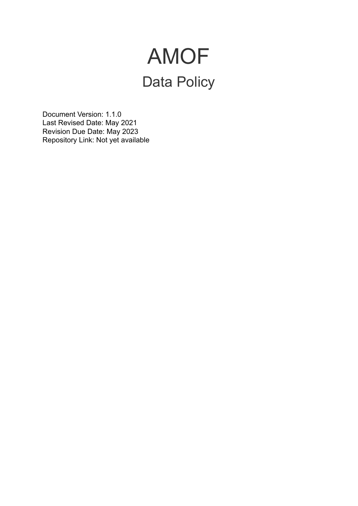## AMOF Data Policy

Document Version: 1.1.0 Last Revised Date: May 2021 Revision Due Date: May 2023 Repository Link: Not yet available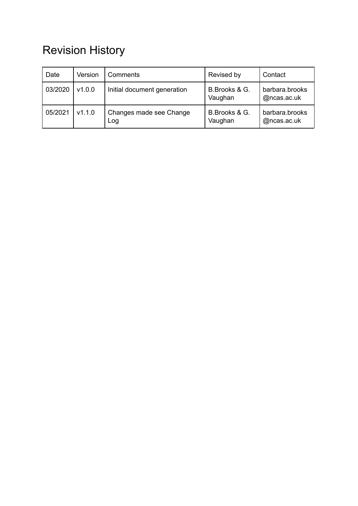## Revision History

| Date    | Version | Comments                       | Revised by               | Contact                       |
|---------|---------|--------------------------------|--------------------------|-------------------------------|
| 03/2020 | v1.0.0  | Initial document generation    | B.Brooks & G.<br>Vaughan | barbara.brooks<br>@ncas.ac.uk |
| 05/2021 | V1.1.0  | Changes made see Change<br>Log | B.Brooks & G.<br>Vaughan | barbara.brooks<br>@ncas.ac.uk |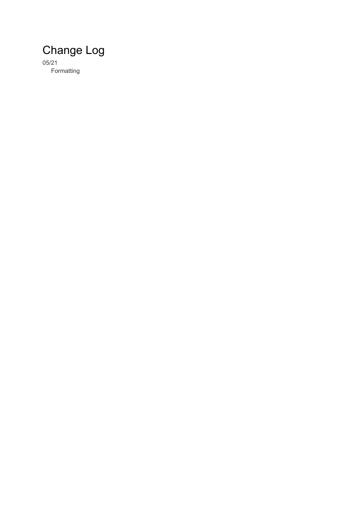## Change Log

05/21 Formatting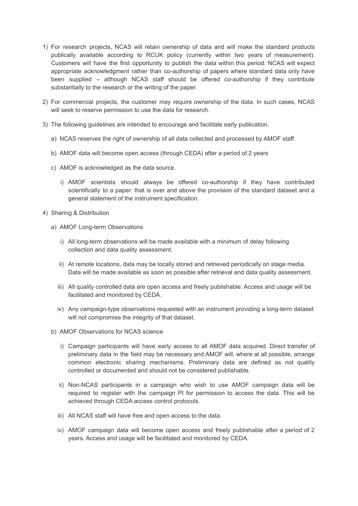- 1) For research projects, NCAS will retain ownership of data and will make the standard products publically available according to RCUK policy (currently within two years of measurement). Customers will have the first opportunity to publish the data within this period. NCAS will expect appropriate acknowledgment rather than co-authorship of papers where standard data only have been supplied – although NCAS staff should be offered co-authorship if they contribute substantially to the research or the writing of the paper.
- 2) For commercial projects, the customer may require ownership of the data. In such cases, NCAS will seek to reserve permission to use the data for research.
- 3) The following guidelines are intended to encourage and facilitate early publication.
	- a) NCAS reserves the right of ownership of all data collected and processed by AMOF staff.
	- b) AMOF data will become open access (through CEDA) after a period of 2 years
	- c) AMOF is acknowledged as the data source.
		- i) AMOF scientists should always be offered co-authorship if they have contributed scientifically to a paper: that is over and above the provision of the standard dataset and a general statement of the instrument specification.
- 4) Sharing & Distribution
	- a) AMOF Long-term Observations
		- i) All long-term observations will be made available with a minimum of delay following collection and data quality assessment.
		- ii) At remote locations, data may be locally stored and retrieved periodically on stage media. Data will be made available as soon as possible after retrieval and data quality assessment.
		- iii) All quality controlled data are open access and freely publishable. Access and usage will be facilitated and monitored by CEDA.
		- iv) Any campaign-type observations requested with an instrument providing a long-term dataset will not compromise the integrity of that dataset.
	- b) AMOF Observations for NCAS science
		- i) Campaign participants will have early access to all AMOF data acquired. Direct transfer of preliminary data in the field may be necessary and AMOF will, where at all possible, arrange common electronic sharing mechanisms. Preliminary data are defined as not quality controlled or documented and should not be considered publishable.
		- ii) Non-NCAS participants in a campaign who wish to use AMOF campaign data will be required to register with the campaign PI for permission to access the data. This will be achieved through CEDA access control protocols.
		- iii) All NCAS staff will have free and open access to the data.
		- iv) AMOF campaign data will become open access and freely publishable after a period of 2 years. Access and usage will be facilitated and monitored by CEDA.